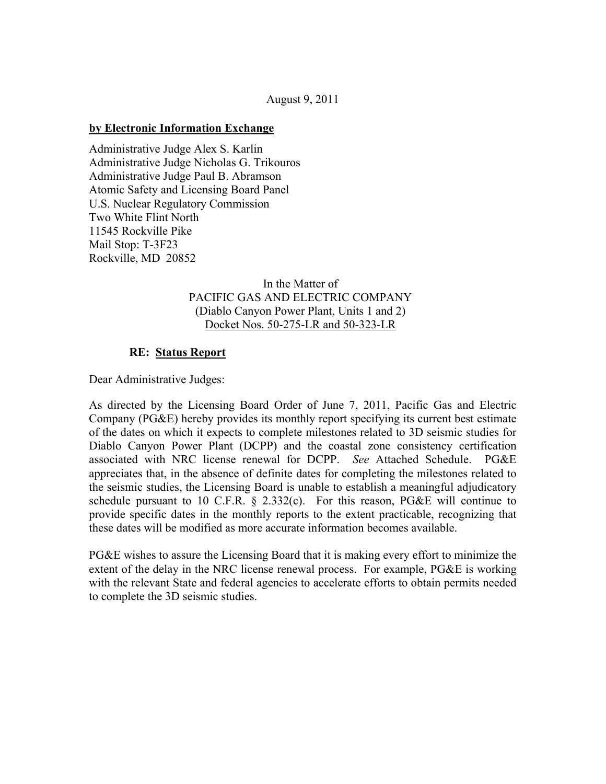### August 9, 2011

#### **by Electronic Information Exchange**

Administrative Judge Alex S. Karlin Administrative Judge Nicholas G. Trikouros Administrative Judge Paul B. Abramson Atomic Safety and Licensing Board Panel U.S. Nuclear Regulatory Commission Two White Flint North 11545 Rockville Pike Mail Stop: T-3F23 Rockville, MD 20852

## In the Matter of PACIFIC GAS AND ELECTRIC COMPANY (Diablo Canyon Power Plant, Units 1 and 2) Docket Nos. 50-275-LR and 50-323-LR

## **RE: Status Report**

Dear Administrative Judges:

As directed by the Licensing Board Order of June 7, 2011, Pacific Gas and Electric Company (PG&E) hereby provides its monthly report specifying its current best estimate of the dates on which it expects to complete milestones related to 3D seismic studies for Diablo Canyon Power Plant (DCPP) and the coastal zone consistency certification associated with NRC license renewal for DCPP. *See* Attached Schedule. PG&E appreciates that, in the absence of definite dates for completing the milestones related to the seismic studies, the Licensing Board is unable to establish a meaningful adjudicatory schedule pursuant to 10 C.F.R.  $\S$  2.332(c). For this reason, PG&E will continue to provide specific dates in the monthly reports to the extent practicable, recognizing that these dates will be modified as more accurate information becomes available.

PG&E wishes to assure the Licensing Board that it is making every effort to minimize the extent of the delay in the NRC license renewal process. For example, PG&E is working with the relevant State and federal agencies to accelerate efforts to obtain permits needed to complete the 3D seismic studies.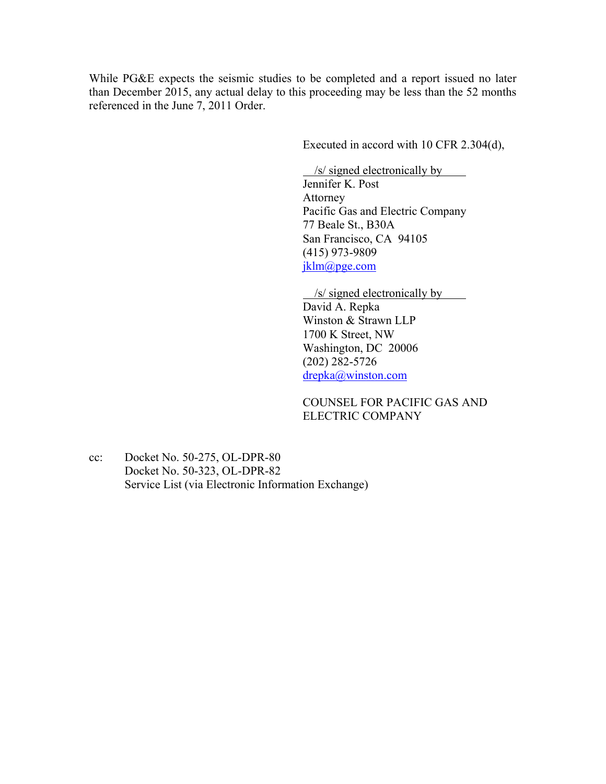While PG&E expects the seismic studies to be completed and a report issued no later than December 2015, any actual delay to this proceeding may be less than the 52 months referenced in the June 7, 2011 Order.

Executed in accord with 10 CFR 2.304(d),

 /s/ signed electronically by Jennifer K. Post Attorney Pacific Gas and Electric Company 77 Beale St., B30A San Francisco, CA 94105 (415) 973-9809 jklm@pge.com

/s/ signed electronically by

David A. Repka Winston & Strawn LLP 1700 K Street, NW Washington, DC 20006 (202) 282-5726 drepka@winston.com

COUNSEL FOR PACIFIC GAS AND ELECTRIC COMPANY

cc: Docket No. 50-275, OL-DPR-80 Docket No. 50-323, OL-DPR-82 Service List (via Electronic Information Exchange)